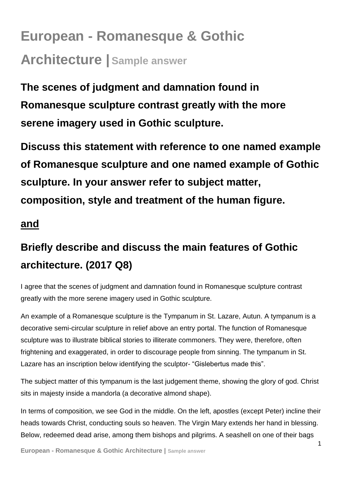## **European - Romanesque & Gothic Architecture | Sample answer**

**The scenes of judgment and damnation found in Romanesque sculpture contrast greatly with the more serene imagery used in Gothic sculpture.** 

**Discuss this statement with reference to one named example of Romanesque sculpture and one named example of Gothic sculpture. In your answer refer to subject matter, composition, style and treatment of the human figure.** 

## **and**

## **Briefly describe and discuss the main features of Gothic architecture. (2017 Q8)**

I agree that the scenes of judgment and damnation found in Romanesque sculpture contrast greatly with the more serene imagery used in Gothic sculpture.

An example of a Romanesque sculpture is the Tympanum in St. Lazare, Autun. A tympanum is a decorative semi-circular sculpture in relief above an entry portal. The function of Romanesque sculpture was to illustrate biblical stories to illiterate commoners. They were, therefore, often frightening and exaggerated, in order to discourage people from sinning. The tympanum in St. Lazare has an inscription below identifying the sculptor- "Gislebertus made this".

The subject matter of this tympanum is the last judgement theme, showing the glory of god. Christ sits in majesty inside a mandorla (a decorative almond shape).

In terms of composition, we see God in the middle. On the left, apostles (except Peter) incline their heads towards Christ, conducting souls so heaven. The Virgin Mary extends her hand in blessing. Below, redeemed dead arise, among them bishops and pilgrims. A seashell on one of their bags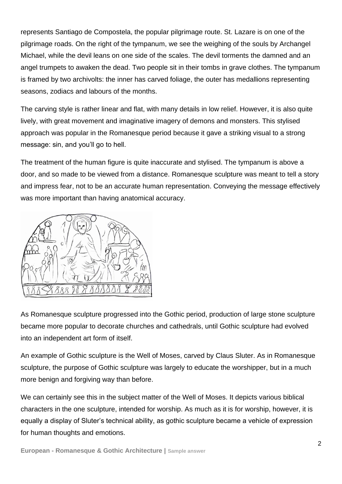represents Santiago de Compostela, the popular pilgrimage route. St. Lazare is on one of the pilgrimage roads. On the right of the tympanum, we see the weighing of the souls by Archangel Michael, while the devil leans on one side of the scales. The devil torments the damned and an angel trumpets to awaken the dead. Two people sit in their tombs in grave clothes. The tympanum is framed by two archivolts: the inner has carved foliage, the outer has medallions representing seasons, zodiacs and labours of the months.

The carving style is rather linear and flat, with many details in low relief. However, it is also quite lively, with great movement and imaginative imagery of demons and monsters. This stylised approach was popular in the Romanesque period because it gave a striking visual to a strong message: sin, and you'll go to hell.

The treatment of the human figure is quite inaccurate and stylised. The tympanum is above a door, and so made to be viewed from a distance. Romanesque sculpture was meant to tell a story and impress fear, not to be an accurate human representation. Conveying the message effectively was more important than having anatomical accuracy.



As Romanesque sculpture progressed into the Gothic period, production of large stone sculpture became more popular to decorate churches and cathedrals, until Gothic sculpture had evolved into an independent art form of itself.

An example of Gothic sculpture is the Well of Moses, carved by Claus Sluter. As in Romanesque sculpture, the purpose of Gothic sculpture was largely to educate the worshipper, but in a much more benign and forgiving way than before.

We can certainly see this in the subject matter of the Well of Moses. It depicts various biblical characters in the one sculpture, intended for worship. As much as it is for worship, however, it is equally a display of Sluter's technical ability, as gothic sculpture became a vehicle of expression for human thoughts and emotions.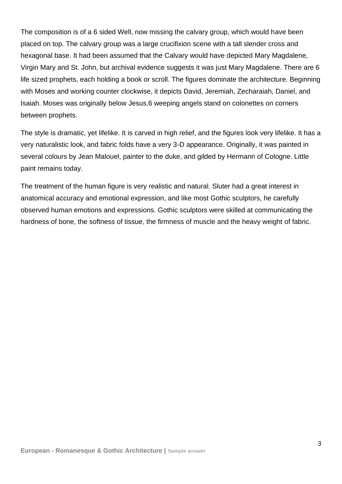The composition is of a 6 sided Well, now missing the calvary group, which would have been placed on top. The calvary group was a large crucifixion scene with a tall slender cross and hexagonal base. It had been assumed that the Calvary would have depicted Mary Magdalene, Virgin Mary and St. John, but archival evidence suggests it was just Mary Magdalene. There are 6 life sized prophets, each holding a book or scroll. The figures dominate the architecture. Beginning with Moses and working counter clockwise, it depicts David, Jeremiah, Zecharaiah, Daniel, and Isaiah. Moses was originally below Jesus.6 weeping angels stand on colonettes on corners between prophets.

The style is dramatic, yet lifelike. It is carved in high relief, and the figures look very lifelike. It has a very naturalistic look, and fabric folds have a very 3-D appearance. Originally, it was painted in several colours by Jean Malouel, painter to the duke, and gilded by Hermann of Cologne. Little paint remains today.

The treatment of the human figure is very realistic and natural. Sluter had a great interest in anatomical accuracy and emotional expression, and like most Gothic sculptors, he carefully observed human emotions and expressions. Gothic sculptors were skilled at communicating the hardness of bone, the softness of tissue, the firmness of muscle and the heavy weight of fabric.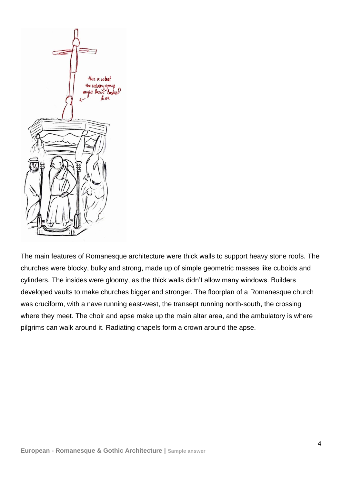

The main features of Romanesque architecture were thick walls to support heavy stone roofs. The churches were blocky, bulky and strong, made up of simple geometric masses like cuboids and cylinders. The insides were gloomy, as the thick walls didn't allow many windows. Builders developed vaults to make churches bigger and stronger. The floorplan of a Romanesque church was cruciform, with a nave running east-west, the transept running north-south, the crossing where they meet. The choir and apse make up the main altar area, and the ambulatory is where pilgrims can walk around it. Radiating chapels form a crown around the apse.